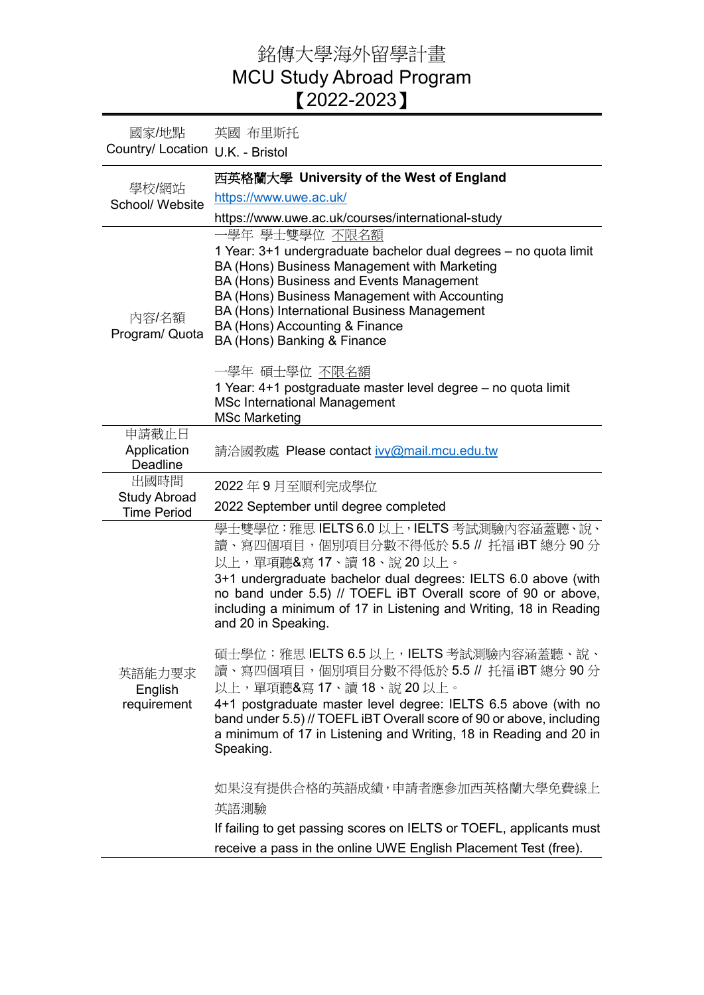## 銘傳大學海外留學計畫 MCU Study Abroad Program 【2022-2023】

國家/地點 Country/ Location U.K. - Bristol 英國 布里斯托 學校/網站 School/ Website 西英格蘭大學 **University of the West of England** <https://www.uwe.ac.uk/> https://www.uwe.ac.uk/courses/international-study 內容/名額 Program/ Quota 一學年 學士雙學位 不限名額 1 Year: 3+1 undergraduate bachelor dual degrees – no quota limit BA (Hons) Business Management with Marketing BA (Hons) Business and Events Management BA (Hons) Business Management with Accounting BA (Hons) International Business Management BA (Hons) Accounting & Finance BA (Hons) Banking & Finance 一學年 碩士學位 不限名額 1 Year: 4+1 postgraduate master level degree – no quota limit MSc International Management MSc Marketing 申請截止日 Application **Deadline** 請洽國教處 Please contact [ivy@mail.mcu.edu.tw](mailto:ivy@mail.mcu.edu.tw) 出國時間 Study Abroad Time Period 2022 年 9 月至順利完成學位 2022 September until degree completed 英語能力要求 English requirement 學士雙學位:雅思 IELTS 6.0 以上, IELTS 考試測驗內容涵蓋聽、說、 讀、寫四個項目,個別項目分數不得低於 5.5 // 托福 iBT 總分 90 分 以上,單項聽&寫 17、讀 18、說 20 以上。 3+1 undergraduate bachelor dual degrees: IELTS 6.0 above (with no band under 5.5) // TOEFL iBT Overall score of 90 or above, including a minimum of 17 in Listening and Writing, 18 in Reading and 20 in Speaking. 碩士學位:雅思 IELTS 6.5 以上, IELTS 考試測驗內容涵蓋聽、說、 讀、寫四個項目,個別項目分數不得低於 5.5 // 托福 iBT 總分 90 分 以上,單項聽&寫 17、讀 18、說 20 以上。 4+1 postgraduate master level degree: IELTS 6.5 above (with no band under 5.5) // TOEFL iBT Overall score of 90 or above, including a minimum of 17 in Listening and Writing, 18 in Reading and 20 in Speaking. 如果沒有提供合格的英語成績,申請者應參加西英格蘭大學免費線上 英語測驗 If failing to get passing scores on IELTS or TOEFL, applicants must receive a pass in the online UWE English Placement Test (free).